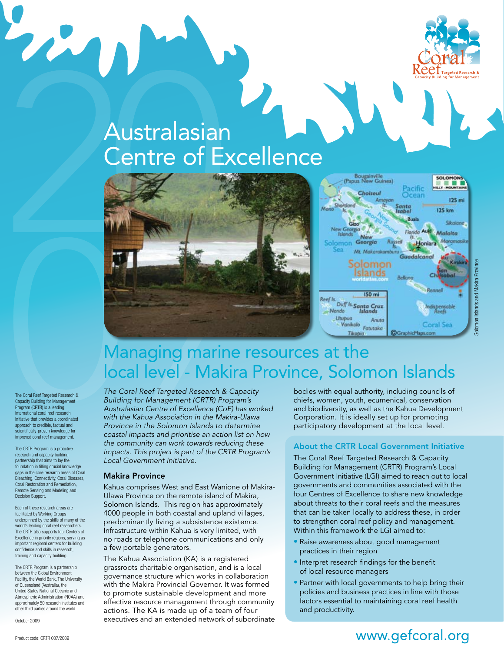

## Australasian Centre of Excellence



#### Managing marine resources at the local level - Makira Province, Solomon Islands

The Coral Reef Targeted Research & Capacity Building for Management Program (CRTR) is a leading international coral reef research initiative that provides a coordinated approach to credible, factual and scientifically-proven knowledge for improved coral reef management.

22

The CRTR Program is a proactive research and capacity building partnership that aims to lay the foundation in filling crucial knowledge gaps in the core research areas of Coral Bleaching, Connectivity, Coral Diseases, Coral Restoration and Remediation, Remote Sensing and Modeling and Decision Support.

Each of these research areas are facilitated by Working Groups underpinned by the skills of many of the world's leading coral reef researchers. The CRTR also supports four Centers of Excellence in priority regions, serving as important regional centers for building confidence and skills in research, training and capacity building.

The CRTR Program is a partnership between the Global Environment Facility, the World Bank, The University of Queensland (Australia), the United States National Oceanic and Atmospheric Administration (NOAA) and approximately 50 research institutes and other third parties around the world.

October 2009

The Coral Reef Targeted Research & Capacity *Building for Management (CRTR) Program's Australasian Centre of Excellence (CoE) has worked with the Kahua Association in the Makira-Ulawa Province in the Solomon Islands to determine coastal impacts and prioritise an action list on how the community can work towards reducing these impacts. This project is part of the CRTR Program's Local Government Initiative.*

#### Makira Province

Kahua comprises West and East Wanione of Makira-Ulawa Province on the remote island of Makira, Solomon Islands. This region has approximately 4000 people in both coastal and upland villages, predominantly living a subsistence existence. Infrastructure within Kahua is very limited, with no roads or telephone communications and only a few portable generators.

The Kahua Association (KA) is a registered grassroots charitable organisation, and is a local governance structure which works in collaboration with the Makira Provincial Governor. It was formed to promote sustainable development and more effective resource management through community actions. The KA is made up of a team of four executives and an extended network of subordinate bodies with equal authority, including councils of chiefs, women, youth, ecumenical, conservation and biodiversity, as well as the Kahua Development Corporation. It is ideally set up for promoting participatory development at the local level.

#### About the CRTR Local Government Initiative

The Coral Reef Targeted Research & Capacity Building for Management (CRTR) Program's Local Government Initiative (LGI) aimed to reach out to local governments and communities associated with the four Centres of Excellence to share new knowledge about threats to their coral reefs and the measures that can be taken locally to address these, in order to strengthen coral reef policy and management. Within this framework the LGI aimed to:

- Raise awareness about good management practices in their region
- Interpret research findings for the benefit of local resource managers
- Partner with local governments to help bring their policies and business practices in line with those factors essential to maintaining coral reef health and productivity.

#### www.gefcoral.org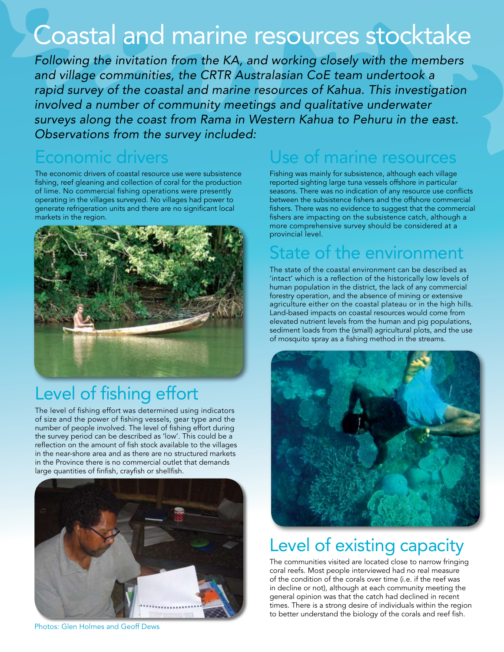# Coastal and marine resources stocktake

*Following the invitation from the KA, and working closely with the members and village communities, the CRTR Australasian CoE team undertook a rapid survey of the coastal and marine resources of Kahua. This investigation involved a number of community meetings and qualitative underwater surveys along the coast from Rama in Western Kahua to Pehuru in the east. Observations from the survey included:*

#### Economic drivers

The economic drivers of coastal resource use were subsistence fishing, reef gleaning and collection of coral for the production of lime. No commercial fishing operations were presently operating in the villages surveyed. No villages had power to generate refrigeration units and there are no significant local markets in the region.



## Level of fishing effort

The level of fishing effort was determined using indicators of size and the power of fishing vessels, gear type and the number of people involved. The level of fishing effort during the survey period can be described as 'low'. This could be a reflection on the amount of fish stock available to the villages in the near-shore area and as there are no structured markets in the Province there is no commercial outlet that demands large quantities of finfish, crayfish or shellfish.



Photos: Glen Holmes and Geoff Dews

#### Use of marine resources

Fishing was mainly for subsistence, although each village reported sighting large tuna vessels offshore in particular seasons. There was no indication of any resource use conflicts between the subsistence fishers and the offshore commercial fishers. There was no evidence to suggest that the commercial fishers are impacting on the subsistence catch, although a more comprehensive survey should be considered at a provincial level.

#### State of the environment

The state of the coastal environment can be described as 'intact' which is a reflection of the historically low levels of human population in the district, the lack of any commercial forestry operation, and the absence of mining or extensive agriculture either on the coastal plateau or in the high hills. Land-based impacts on coastal resources would come from elevated nutrient levels from the human and pig populations, sediment loads from the (small) agricultural plots, and the use of mosquito spray as a fishing method in the streams.



## Level of existing capacity

The communities visited are located close to narrow fringing coral reefs. Most people interviewed had no real measure of the condition of the corals over time (i.e. if the reef was in decline or not), although at each community meeting the general opinion was that the catch had declined in recent times. There is a strong desire of individuals within the region to better understand the biology of the corals and reef fish.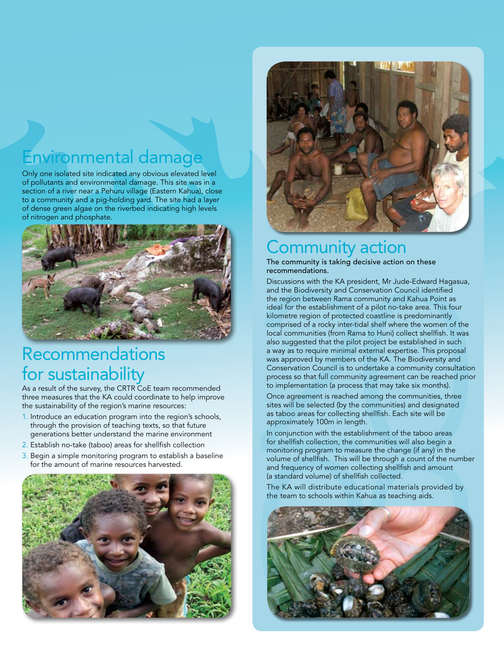## Environmental damage

Only one isolated site indicated any obvious elevated level of pollutants and environmental damage. This site was in a section of a river near a Pehuru village (Eastern Kahua), close to a community and a pig-holding yard. The site had a layer of dense green algae on the riverbed indicating high levels of nitrogen and phosphate.



#### Recommendations for sustainability

As a result of the survey, the CRTR CoE team recommended three measures that the KA could coordinate to help improve the sustainability of the region's marine resources:

- 1. Introduce an education program into the region's schools, through the provision of teaching texts, so that future generations better understand the marine environment
- 2. Establish no-take (taboo) areas for shellfish collection
- 3. Begin a simple monitoring program to establish a baseline for the amount of marine resources harvested.





#### Community action

The community is taking decisive action on these recommendations.

Discussions with the KA president, Mr Jude-Edward Hagasua, and the Biodiversity and Conservation Council identified the region between Rama community and Kahua Point as ideal for the establishment of a pilot no-take area. This four kilometre region of protected coastline is predominantly comprised of a rocky inter-tidal shelf where the women of the local communities (from Rama to Huni) collect shellfish. It was also suggested that the pilot project be established in such a way as to require minimal external expertise. This proposal was approved by members of the KA. The Biodiversity and Conservation Council is to undertake a community consultation process so that full community agreement can be reached prior to implementation (a process that may take six months).

Once agreement is reached among the communities, three sites will be selected (by the communities) and designated as taboo areas for collecting shellfish. Each site will be approximately 100m in length.

In conjunction with the establishment of the taboo areas for shellfish collection, the communities will also begin a monitoring program to measure the change (if any) in the volume of shellfish. This will be through a count of the number and frequency of women collecting shellfish and amount (a standard volume) of shellfish collected.

The KA will distribute educational materials provided by the team to schools within Kahua as teaching aids.